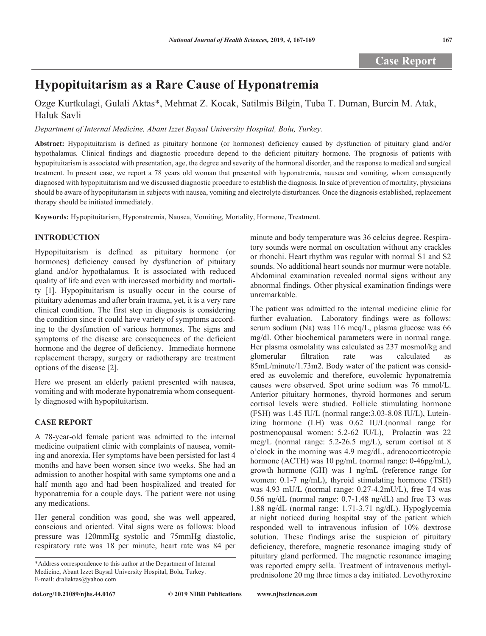# **Hypopituitarism as a Rare Cause of Hyponatremia**

## Ozge Kurtkulagi, Gulali Aktas\*, Mehmat Z. Kocak, Satilmis Bilgin, Tuba T. Duman, Burcin M. Atak, Haluk Savli

### *Department of Internal Medicine, Abant Izzet Baysal University Hospital, Bolu, Turkey.*

**Abstract:** Hypopituitarism is defined as pituitary hormone (or hormones) deficiency caused by dysfunction of pituitary gland and/or hypothalamus. Clinical findings and diagnostic procedure depend to the deficient pituitary hormone. The prognosis of patients with hypopituitarism is associated with presentation, age, the degree and severity of the hormonal disorder, and the response to medical and surgical treatment. In present case, we report a 78 years old woman that presented with hyponatremia, nausea and vomiting, whom consequently diagnosed with hypopituitarism and we discussed diagnostic procedure to establish the diagnosis. In sake of prevention of mortality, physicians should be aware of hypopituitarism in subjects with nausea, vomiting and electrolyte disturbances. Once the diagnosis established, replacement therapy should be initiated immediately.

**Keywords:** Hypopituitarism, Hyponatremia, Nausea, Vomiting, Mortality, Hormone, Treatment.

### **INTRODUCTION**

Hypopituitarism is defined as pituitary hormone (or hormones) deficiency caused by dysfunction of pituitary gland and/or hypothalamus. It is associated with reduced quality of life and even with increased morbidity and mortality [1]. Hypopituitarism is usually occur in the course of pituitary adenomas and after brain trauma, yet, it is a very rare clinical condition. The first step in diagnosis is considering the condition since it could have variety of symptoms according to the dysfunction of various hormones. The signs and symptoms of the disease are consequences of the deficient hormone and the degree of deficiency. Immediate hormone replacement therapy, surgery or radiotherapy are treatment options of the disease [2].

Here we present an elderly patient presented with nausea, vomiting and with moderate hyponatremia whom consequently diagnosed with hypopituitarism.

### **CASE REPORT**

A 78-year-old female patient was admitted to the internal medicine outpatient clinic with complaints of nausea, vomiting and anorexia. Her symptoms have been persisted for last 4 months and have been worsen since two weeks. She had an admission to another hospital with same symptoms one and a half month ago and had been hospitalized and treated for hyponatremia for a couple days. The patient were not using any medications.

Her general condition was good, she was well appeared, conscious and oriented. Vital signs were as follows: blood pressure was 120mmHg systolic and 75mmHg diastolic, respiratory rate was 18 per minute, heart rate was 84 per

**doi.org/10.21089/njhs.44.0167**

minute and body temperature was 36 celcius degree. Respiratory sounds were normal on oscultation without any crackles or rhonchi. Heart rhythm was regular with normal S1 and S2 sounds. No additional heart sounds nor murmur were notable. Abdominal examination revealed normal signs without any abnormal findings. Other physical examination findings were unremarkable.

The patient was admitted to the internal medicine clinic for further evaluation. Laboratory findings were as follows: serum sodium (Na) was 116 meq/L, plasma glucose was 66 mg/dl. Other biochemical parameters were in normal range. Her plasma osmolality was calculated as 237 mosmol/kg and glomerular filtration rate was calculated as 85mL/minute/1.73m2. Body water of the patient was considered as euvolemic and therefore, euvolemic hyponatremia causes were observed. Spot urine sodium was 76 mmol/L. Anterior pituitary hormones, thyroid hormones and serum cortisol levels were studied. Follicle stimulating hormone (FSH) was 1.45 IU/L (normal range:3.03-8.08 IU/L), Luteinizing hormone (LH) was 0.62 IU/L(normal range for postmenopausal women: 5.2-62 IU/L), Prolactin was 22 mcg/L (normal range: 5.2-26.5 mg/L), serum cortisol at 8 o'clock in the morning was 4.9 mcg/dL, adrenocorticotropic hormone (ACTH) was 10 pg/mL (normal range: 0-46pg/mL), growth hormone (GH) was 1 ng/mL (reference range for women: 0.1-7 ng/mL), thyroid stimulating hormone (TSH) was 4.93 mU/L (normal range: 0.27-4.2mU/L), free T4 was 0.56 ng/dL (normal range: 0.7-1.48 ng/dL) and free T3 was 1.88 ng/dL (normal range: 1.71-3.71 ng/dL). Hypoglycemia at night noticed during hospital stay of the patient which responded well to intravenous infusion of 10% dextrose solution. These findings arise the suspicion of pituitary deficiency, therefore, magnetic resonance imaging study of pituitary gland performed. The magnetic resonance imaging was reported empty sella. Treatment of intravenous methylprednisolone 20 mg three times a day initiated. Levothyroxine

<sup>\*</sup>Address correspondence to this author at the Department of Internal Medicine, Abant Izzet Baysal University Hospital, Bolu, Turkey. E-mail: draliaktas@yahoo.com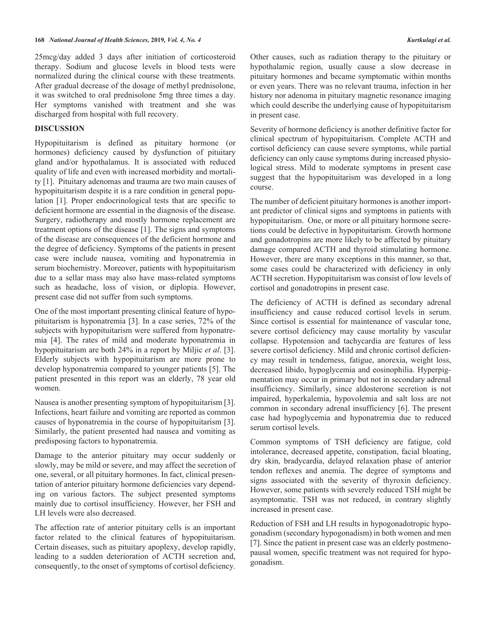25mcg/day added 3 days after initiation of corticosteroid therapy. Sodium and glucose levels in blood tests were normalized during the clinical course with these treatments. After gradual decrease of the dosage of methyl prednisolone, it was switched to oral prednisolone 5mg three times a day. Her symptoms vanished with treatment and she was discharged from hospital with full recovery.

### **DISCUSSION**

Hypopituitarism is defined as pituitary hormone (or hormones) deficiency caused by dysfunction of pituitary gland and/or hypothalamus. It is associated with reduced quality of life and even with increased morbidity and mortality [1]. Pituitary adenomas and trauma are two main causes of hypopituitarism despite it is a rare condition in general population [1]. Proper endocrinological tests that are specific to deficient hormone are essential in the diagnosis of the disease. Surgery, radiotherapy and mostly hormone replacement are treatment options of the disease [1]. The signs and symptoms of the disease are consequences of the deficient hormone and the degree of deficiency. Symptoms of the patients in present case were include nausea, vomiting and hyponatremia in serum biochemistry. Moreover, patients with hypopituitarism due to a sellar mass may also have mass-related symptoms such as headache, loss of vision, or diplopia. However, present case did not suffer from such symptoms.

One of the most important presenting clinical feature of hypopituitarism is hyponatremia [3]. In a case series, 72% of the subjects with hypopituitarism were suffered from hyponatremia [4]. The rates of mild and moderate hyponatremia in hypopituitarism are both 24% in a report by Miljic *et al*. [3]. Elderly subjects with hypopituitarism are more prone to develop hyponatremia compared to younger patients [5]. The patient presented in this report was an elderly, 78 year old women.

Nausea is another presenting symptom of hypopituitarism [3]. Infections, heart failure and vomiting are reported as common causes of hyponatremia in the course of hypopituitarism [3]. Similarly, the patient presented had nausea and vomiting as predisposing factors to hyponatremia.

Damage to the anterior pituitary may occur suddenly or slowly, may be mild or severe, and may affect the secretion of one, several, or all pituitary hormones. In fact, clinical presentation of anterior pituitary hormone deficiencies vary depending on various factors. The subject presented symptoms mainly due to cortisol insufficiency. However, her FSH and LH levels were also decreased.

The affection rate of anterior pituitary cells is an important factor related to the clinical features of hypopituitarism. Certain diseases, such as pituitary apoplexy, develop rapidly, leading to a sudden deterioration of ACTH secretion and, consequently, to the onset of symptoms of cortisol deficiency.

Other causes, such as radiation therapy to the pituitary or hypothalamic region, usually cause a slow decrease in pituitary hormones and became symptomatic within months or even years. There was no relevant trauma, infection in her history nor adenoma in pituitary magnetic resonance imaging which could describe the underlying cause of hypopituitarism in present case.

Severity of hormone deficiency is another definitive factor for clinical spectrum of hypopituitarism. Complete ACTH and cortisol deficiency can cause severe symptoms, while partial deficiency can only cause symptoms during increased physiological stress. Mild to moderate symptoms in present case suggest that the hypopituitarism was developed in a long course.

The number of deficient pituitary hormones is another important predictor of clinical signs and symptoms in patients with hypopituitarism. One, or more or all pituitary hormone secretions could be defective in hypopituitarism. Growth hormone and gonadotropins are more likely to be affected by pituitary damage compared ACTH and thyroid stimulating hormone. However, there are many exceptions in this manner, so that, some cases could be characterized with deficiency in only ACTH secretion. Hypopituitarism was consist of low levels of cortisol and gonadotropins in present case.

The deficiency of ACTH is defined as secondary adrenal insufficiency and cause reduced cortisol levels in serum. Since cortisol is essential for maintenance of vascular tone, severe cortisol deficiency may cause mortality by vascular collapse. Hypotension and tachycardia are features of less severe cortisol deficiency. Mild and chronic cortisol deficiency may result in tenderness, fatigue, anorexia, weight loss, decreased libido, hypoglycemia and eosinophilia. Hyperpigmentation may occur in primary but not in secondary adrenal insufficiency. Similarly, since aldosterone secretion is not impaired, hyperkalemia, hypovolemia and salt loss are not common in secondary adrenal insufficiency [6]. The present case had hypoglycemia and hyponatremia due to reduced serum cortisol levels.

Common symptoms of TSH deficiency are fatigue, cold intolerance, decreased appetite, constipation, facial bloating, dry skin, bradycardia, delayed relaxation phase of anterior tendon reflexes and anemia. The degree of symptoms and signs associated with the severity of thyroxin deficiency. However, some patients with severely reduced TSH might be asymptomatic. TSH was not reduced, in contrary slightly increased in present case.

Reduction of FSH and LH results in hypogonadotropic hypogonadism (secondary hypogonadism) in both women and men [7]. Since the patient in present case was an elderly postmenopausal women, specific treatment was not required for hypogonadism.